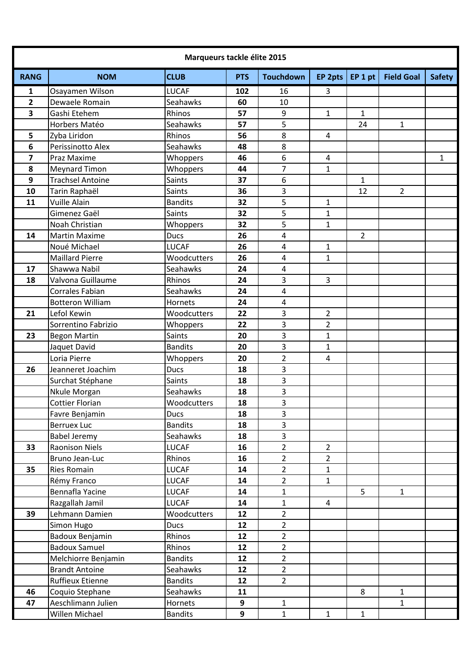| Marqueurs tackle élite 2015 |                         |                |            |                  |                |                |                   |               |  |  |
|-----------------------------|-------------------------|----------------|------------|------------------|----------------|----------------|-------------------|---------------|--|--|
| <b>RANG</b>                 | <b>NOM</b>              | <b>CLUB</b>    | <b>PTS</b> | <b>Touchdown</b> | EP 2pts        | EP1pt          | <b>Field Goal</b> | <b>Safety</b> |  |  |
| $\mathbf{1}$                | Osayamen Wilson         | <b>LUCAF</b>   | 102        | 16               | 3              |                |                   |               |  |  |
| $\overline{2}$              | Dewaele Romain          | Seahawks       | 60         | 10               |                |                |                   |               |  |  |
| $\overline{\mathbf{3}}$     | Gashi Etehem            | Rhinos         | 57         | 9                | $\mathbf{1}$   | $\mathbf{1}$   |                   |               |  |  |
|                             | Horbers Matéo           | Seahawks       | 57         | 5                |                | 24             | 1                 |               |  |  |
| 5                           | Zyba Liridon            | Rhinos         | 56         | 8                | $\overline{4}$ |                |                   |               |  |  |
| 6                           | Perissinotto Alex       | Seahawks       | 48         | 8                |                |                |                   |               |  |  |
| $\overline{7}$              | Praz Maxime             | Whoppers       | 46         | 6                | 4              |                |                   | 1             |  |  |
| 8                           | <b>Meynard Timon</b>    | Whoppers       | 44         | 7                | $\mathbf{1}$   |                |                   |               |  |  |
| 9                           | <b>Trachsel Antoine</b> | Saints         | 37         | 6                |                | $\mathbf{1}$   |                   |               |  |  |
| 10                          | Tarin Raphaël           | Saints         | 36         | 3                |                | 12             | $\overline{2}$    |               |  |  |
| 11                          | Vuille Alain            | <b>Bandits</b> | 32         | 5                | 1              |                |                   |               |  |  |
|                             | Gimenez Gaël            | Saints         | 32         | 5                | $\mathbf{1}$   |                |                   |               |  |  |
|                             | Noah Christian          | Whoppers       | 32         | 5                | $\mathbf{1}$   |                |                   |               |  |  |
| 14                          | <b>Martin Maxime</b>    | <b>Ducs</b>    | 26         | 4                |                | $\overline{2}$ |                   |               |  |  |
|                             | Noué Michael            | <b>LUCAF</b>   | 26         | 4                | $\mathbf{1}$   |                |                   |               |  |  |
|                             | <b>Maillard Pierre</b>  | Woodcutters    | 26         | 4                | $\mathbf{1}$   |                |                   |               |  |  |
| 17                          | Shawwa Nabil            | Seahawks       | 24         | 4                |                |                |                   |               |  |  |
| 18                          | Valvona Guillaume       | Rhinos         | 24         | 3                | 3              |                |                   |               |  |  |
|                             | Corrales Fabian         | Seahawks       | 24         | 4                |                |                |                   |               |  |  |
|                             | <b>Botteron William</b> | Hornets        | 24         | $\pmb{4}$        |                |                |                   |               |  |  |
| 21                          | Lefol Kewin             | Woodcutters    | 22         | 3                | $\overline{2}$ |                |                   |               |  |  |
|                             | Sorrentino Fabrizio     | Whoppers       | 22         | 3                | $\overline{2}$ |                |                   |               |  |  |
| 23                          | <b>Begon Martin</b>     | <b>Saints</b>  | 20         | 3                | $\mathbf{1}$   |                |                   |               |  |  |
|                             | Jaquet David            | <b>Bandits</b> | 20         | 3                | 1              |                |                   |               |  |  |
|                             | Loria Pierre            | Whoppers       | 20         | $\overline{2}$   | $\overline{4}$ |                |                   |               |  |  |
| 26                          | Jeanneret Joachim       | <b>Ducs</b>    | 18         | $\overline{3}$   |                |                |                   |               |  |  |
|                             | Surchat Stéphane        | Saints         | 18         | 3                |                |                |                   |               |  |  |
|                             | Nkule Morgan            | Seahawks       | 18         | 3                |                |                |                   |               |  |  |
|                             | Cottier Florian         | Woodcutters    | 18         | 3                |                |                |                   |               |  |  |
|                             | Favre Benjamin          | <b>Ducs</b>    | 18         | 3                |                |                |                   |               |  |  |
|                             | <b>Berruex Luc</b>      | <b>Bandits</b> | 18         | 3                |                |                |                   |               |  |  |
|                             | <b>Babel Jeremy</b>     | Seahawks       | 18         | $\overline{3}$   |                |                |                   |               |  |  |
| 33                          | <b>Raonison Niels</b>   | <b>LUCAF</b>   | 16         | $\overline{2}$   | $\overline{2}$ |                |                   |               |  |  |
|                             | Bruno Jean-Luc          | Rhinos         | 16         | $\overline{2}$   | $\overline{2}$ |                |                   |               |  |  |
| 35                          | <b>Ries Romain</b>      | <b>LUCAF</b>   | 14         | $\overline{2}$   | $\mathbf{1}$   |                |                   |               |  |  |
|                             | Rémy Franco             | <b>LUCAF</b>   | 14         | $\overline{2}$   | $\mathbf{1}$   |                |                   |               |  |  |
|                             | Bennafla Yacine         | <b>LUCAF</b>   | 14         | $\mathbf{1}$     |                | 5              | $\mathbf{1}$      |               |  |  |
|                             | Razgallah Jamil         | <b>LUCAF</b>   | 14         | $\mathbf{1}$     | $\overline{4}$ |                |                   |               |  |  |
| 39                          | Lehmann Damien          | Woodcutters    | 12         | $\overline{2}$   |                |                |                   |               |  |  |
|                             | Simon Hugo              | <b>Ducs</b>    | 12         | $\overline{2}$   |                |                |                   |               |  |  |
|                             | Badoux Benjamin         | Rhinos         | 12         | $\overline{2}$   |                |                |                   |               |  |  |
|                             | <b>Badoux Samuel</b>    | Rhinos         | 12         | $\overline{2}$   |                |                |                   |               |  |  |
|                             | Melchiorre Benjamin     | <b>Bandits</b> | 12         | $\overline{2}$   |                |                |                   |               |  |  |
|                             | <b>Brandt Antoine</b>   | Seahawks       | 12         | $2^{\circ}$      |                |                |                   |               |  |  |
|                             | <b>Ruffieux Etienne</b> | <b>Bandits</b> | 12         | $2^{\circ}$      |                |                |                   |               |  |  |
| 46                          | Coquio Stephane         | Seahawks       | 11         |                  |                | 8              | $\mathbf{1}$      |               |  |  |
| 47                          | Aeschlimann Julien      | Hornets        | 9          | $\mathbf{1}$     |                |                | $\mathbf{1}$      |               |  |  |
|                             | Willen Michael          | <b>Bandits</b> | 9          | $\mathbf{1}$     | $\mathbf{1}$   | $\mathbf{1}$   |                   |               |  |  |